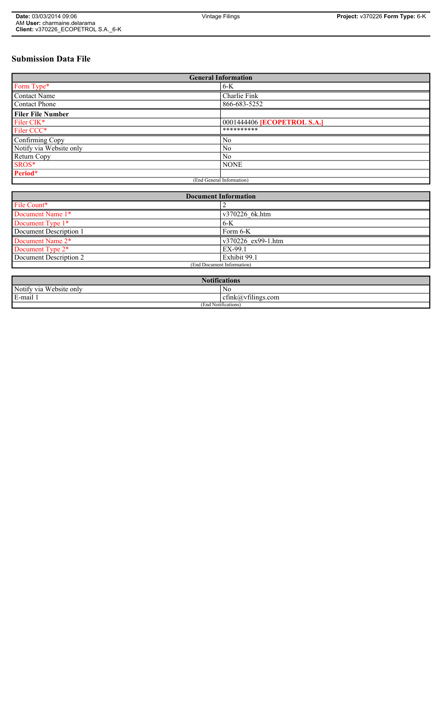# **Submission Data File**

| <b>General Information</b> |                             |
|----------------------------|-----------------------------|
| Form Type*                 | $6-K$                       |
| <b>Contact Name</b>        | Charlie Fink                |
| Contact Phone              | 866-683-5252                |
| <b>Filer File Number</b>   |                             |
| Filer CIK*                 | 0001444406 [ECOPETROL S.A.] |
| Filer CCC*                 | **********                  |
| Confirming Copy            | N <sub>0</sub>              |
| Notify via Website only    | N <sub>0</sub>              |
| Return Copy                | N <sub>0</sub>              |
| SROS*                      | <b>NONE</b>                 |
| Period*                    |                             |
| (End General Information)  |                             |

| <b>Document Information</b> |                    |
|-----------------------------|--------------------|
| File Count*                 |                    |
| Document Name 1*            | v370226 6k.htm     |
| Document Type 1*            | $6-K$              |
| Document Description 1      | Form 6-K           |
| Document Name 2*            | v370226 ex99-1.htm |
| Document Type 2*            | EX-99.1            |
| Document Description 2      | Exhibit 99.1       |
| (End Document Information)  |                    |
|                             |                    |
| <b>Notifications</b>        |                    |

| <b>NOUNTE</b>                                              |                                  |
|------------------------------------------------------------|----------------------------------|
| Notify<br><b>TTT</b><br>ebsite only'<br>' via<br>$\lambda$ | NC                               |
| E-mail                                                     | $\sim$ $+$<br>cfink@vfilings.com |
| (End Notifications)                                        |                                  |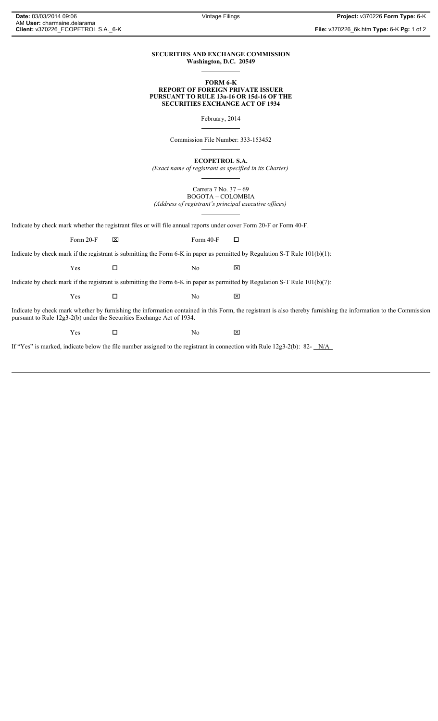**File:** v370226\_6k.htm **Type:** 6-K **Pg:** 1 of 2

# **SECURITIES AND EXCHANGE COMMISSION Washington, D.C. 20549**

### **FORM 6-K REPORT OF FOREIGN PRIVATE ISSUER PURSUANT TO RULE 13a-16 OR 15d-16 OF THE SECURITIES EXCHANGE ACT OF 1934**

February, 2014

Commission File Number: 333-153452

**ECOPETROL S.A.**

*(Exact name of registrant as specified in its Charter)*

Carrera 7 No. 37 – 69 BOGOTA – COLOMBIA

*(Address of registrant's principal executive offices)*

Indicate by check mark whether the registrant files or will file annual reports under cover Form 20-F or Form 40-F.

Form 20-F  $\boxtimes$  Form 40-F  $\Box$ 

Indicate by check mark if the registrant is submitting the Form 6-K in paper as permitted by Regulation S-T Rule 101(b)(1):

 $Yes$   $\Box$  No  $X$ 

Indicate by check mark if the registrant is submitting the Form 6-K in paper as permitted by Regulation S-T Rule 101(b)(7):

 $Yes$   $\Box$  No  $X$ 

Indicate by check mark whether by furnishing the information contained in this Form, the registrant is also thereby furnishing the information to the Commission pursuant to Rule 12g3-2(b) under the Securities Exchange Act of 1934.

 $Yes$   $\square$  No  $X$ 

If "Yes" is marked, indicate below the file number assigned to the registrant in connection with Rule 12g3-2(b): 82-  $N/A$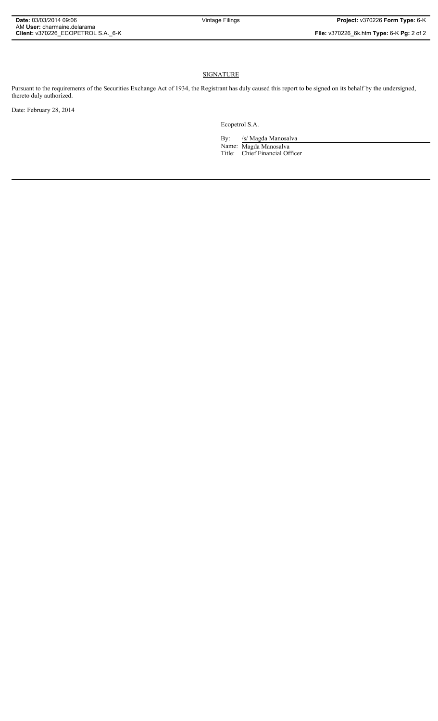# **SIGNATURE**

Pursuant to the requirements of the Securities Exchange Act of 1934, the Registrant has duly caused this report to be signed on its behalf by the undersigned, thereto duly authorized.

Date: February 28, 2014

Ecopetrol S.A.

By: /s/ Magda Manosalva Name: Magda Manosalva Title: Chief Financial Officer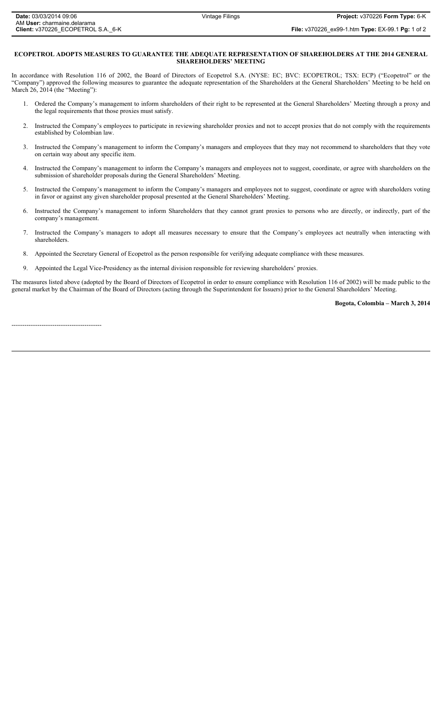**File:** v370226\_ex99-1.htm **Type:** EX-99.1 **Pg:** 1 of 2

#### **ECOPETROL ADOPTS MEASURES TO GUARANTEE THE ADEQUATE REPRESENTATION OF SHAREHOLDERS AT THE 2014 GENERAL SHAREHOLDERS' MEETING**

In accordance with Resolution 116 of 2002, the Board of Directors of Ecopetrol S.A. (NYSE: EC; BVC: ECOPETROL; TSX: ECP) ("Ecopetrol" or the "Company") approved the following measures to guarantee the adequate representation of the Shareholders at the General Shareholders' Meeting to be held on March 26, 2014 (the "Meeting"):

- 1. Ordered the Company's management to inform shareholders of their right to be represented at the General Shareholders' Meeting through a proxy and the legal requirements that those proxies must satisfy.
- 2. Instructed the Company's employees to participate in reviewing shareholder proxies and not to accept proxies that do not comply with the requirements established by Colombian law.
- 3. Instructed the Company's management to inform the Company's managers and employees that they may not recommend to shareholders that they vote on certain way about any specific item.
- 4. Instructed the Company's management to inform the Company's managers and employees not to suggest, coordinate, or agree with shareholders on the submission of shareholder proposals during the General Shareholders' Meeting.
- 5. Instructed the Company's management to inform the Company's managers and employees not to suggest, coordinate or agree with shareholders voting in favor or against any given shareholder proposal presented at the General Shareholders' Meeting.
- 6. Instructed the Company's management to inform Shareholders that they cannot grant proxies to persons who are directly, or indirectly, part of the company's management.
- 7. Instructed the Company's managers to adopt all measures necessary to ensure that the Company's employees act neutrally when interacting with shareholders.
- 8. Appointed the Secretary General of Ecopetrol as the person responsible for verifying adequate compliance with these measures.
- 9. Appointed the Legal Vice-Presidency as the internal division responsible for reviewing shareholders' proxies.

The measures listed above (adopted by the Board of Directors of Ecopetrol in order to ensure compliance with Resolution 116 of 2002) will be made public to the general market by the Chairman of the Board of Directors (acting through the Superintendent for Issuers) prior to the General Shareholders' Meeting.

#### **Bogota, Colombia – March 3, 2014**

------------------------------------------